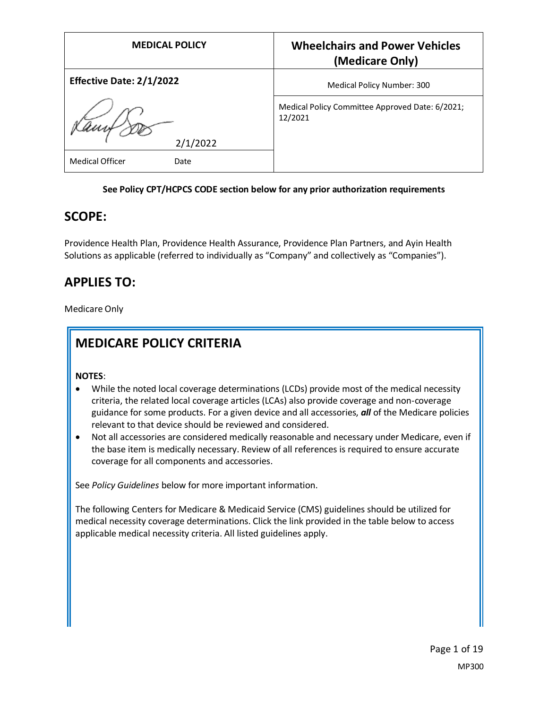| <b>MEDICAL POLICY</b>           | <b>Wheelchairs and Power Vehicles</b><br>(Medicare Only)   |
|---------------------------------|------------------------------------------------------------|
| <b>Effective Date: 2/1/2022</b> | Medical Policy Number: 300                                 |
| 2/1/2022                        | Medical Policy Committee Approved Date: 6/2021;<br>12/2021 |
| <b>Medical Officer</b><br>Date  |                                                            |

#### **See Policy CPT/HCPCS CODE section below for any prior authorization requirements**

### **SCOPE:**

Providence Health Plan, Providence Health Assurance, Providence Plan Partners, and Ayin Health Solutions as applicable (referred to individually as "Company" and collectively as "Companies").

# **APPLIES TO:**

Medicare Only

# **MEDICARE POLICY CRITERIA**

**NOTES**:

- While the noted local coverage determinations (LCDs) provide most of the medical necessity criteria, the related local coverage articles (LCAs) also provide coverage and non-coverage guidance for some products. For a given device and all accessories, *all* of the Medicare policies relevant to that device should be reviewed and considered.
- Not all accessories are considered medically reasonable and necessary under Medicare, even if the base item is medically necessary. Review of all references is required to ensure accurate coverage for all components and accessories.

See *Policy Guidelines* below for more important information.

The following Centers for Medicare & Medicaid Service (CMS) guidelines should be utilized for medical necessity coverage determinations. Click the link provided in the table below to access applicable medical necessity criteria. All listed guidelines apply.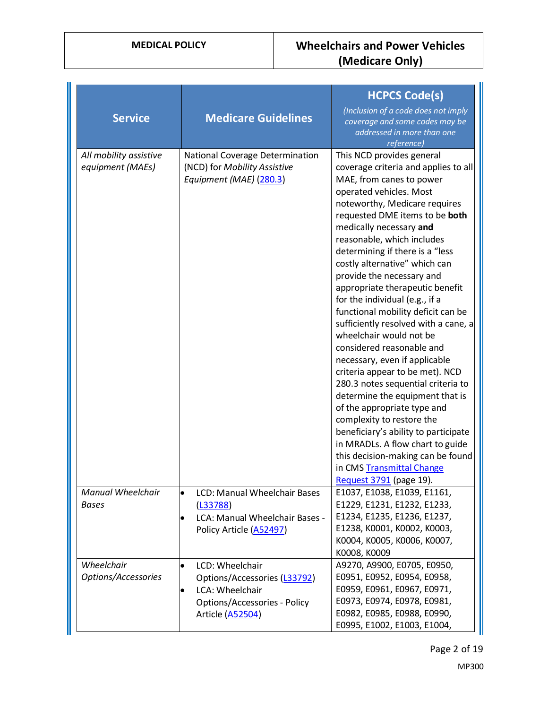| <b>Service</b>                             | <b>Medicare Guidelines</b>                                                                                                                              | <b>HCPCS Code(s)</b><br>(Inclusion of a code does not imply<br>coverage and some codes may be<br>addressed in more than one<br>reference)                                                                                                                                                                                                                                                                                                                                                                                                                                                                                                                                                                                                                                                                                                                                                                                                          |
|--------------------------------------------|---------------------------------------------------------------------------------------------------------------------------------------------------------|----------------------------------------------------------------------------------------------------------------------------------------------------------------------------------------------------------------------------------------------------------------------------------------------------------------------------------------------------------------------------------------------------------------------------------------------------------------------------------------------------------------------------------------------------------------------------------------------------------------------------------------------------------------------------------------------------------------------------------------------------------------------------------------------------------------------------------------------------------------------------------------------------------------------------------------------------|
| All mobility assistive<br>equipment (MAEs) | <b>National Coverage Determination</b><br>(NCD) for Mobility Assistive<br>Equipment (MAE) (280.3)                                                       | This NCD provides general<br>coverage criteria and applies to all<br>MAE, from canes to power<br>operated vehicles. Most<br>noteworthy, Medicare requires<br>requested DME items to be both<br>medically necessary and<br>reasonable, which includes<br>determining if there is a "less<br>costly alternative" which can<br>provide the necessary and<br>appropriate therapeutic benefit<br>for the individual (e.g., if a<br>functional mobility deficit can be<br>sufficiently resolved with a cane, a<br>wheelchair would not be<br>considered reasonable and<br>necessary, even if applicable<br>criteria appear to be met). NCD<br>280.3 notes sequential criteria to<br>determine the equipment that is<br>of the appropriate type and<br>complexity to restore the<br>beneficiary's ability to participate<br>in MRADLs. A flow chart to guide<br>this decision-making can be found<br>in CMS Transmittal Change<br>Request 3791 (page 19). |
| <b>Manual Wheelchair</b><br><b>Bases</b>   | LCD: Manual Wheelchair Bases<br>lo<br>(L33788)<br>LCA: Manual Wheelchair Bases -<br>$\bullet$<br>Policy Article (A52497)                                | E1037, E1038, E1039, E1161,<br>E1229, E1231, E1232, E1233,<br>E1234, E1235, E1236, E1237,<br>E1238, K0001, K0002, K0003,<br>K0004, K0005, K0006, K0007,<br>K0008, K0009                                                                                                                                                                                                                                                                                                                                                                                                                                                                                                                                                                                                                                                                                                                                                                            |
| Wheelchair<br>Options/Accessories          | LCD: Wheelchair<br>$\bullet$<br>Options/Accessories (L33792)<br>LCA: Wheelchair<br>$\bullet$<br><b>Options/Accessories - Policy</b><br>Article (A52504) | A9270, A9900, E0705, E0950,<br>E0951, E0952, E0954, E0958,<br>E0959, E0961, E0967, E0971,<br>E0973, E0974, E0978, E0981,<br>E0982, E0985, E0988, E0990,<br>E0995, E1002, E1003, E1004,                                                                                                                                                                                                                                                                                                                                                                                                                                                                                                                                                                                                                                                                                                                                                             |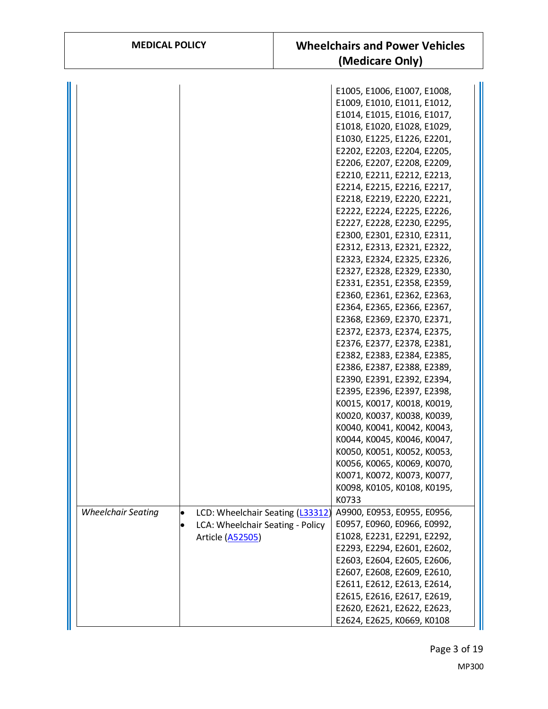| <b>MEDICAL POLICY</b>         | <b>Wheelchairs and Power Vehicles</b><br>(Medicare Only)                                                                                                                                                                                                                                                                                                                                                                                                                                                                                                                                                                                                                                                                                                                                                                                                                                                                                                                                                                                                                                   |
|-------------------------------|--------------------------------------------------------------------------------------------------------------------------------------------------------------------------------------------------------------------------------------------------------------------------------------------------------------------------------------------------------------------------------------------------------------------------------------------------------------------------------------------------------------------------------------------------------------------------------------------------------------------------------------------------------------------------------------------------------------------------------------------------------------------------------------------------------------------------------------------------------------------------------------------------------------------------------------------------------------------------------------------------------------------------------------------------------------------------------------------|
|                               | E1005, E1006, E1007, E1008,<br>E1009, E1010, E1011, E1012,<br>E1014, E1015, E1016, E1017,<br>E1018, E1020, E1028, E1029,<br>E1030, E1225, E1226, E2201,<br>E2202, E2203, E2204, E2205,<br>E2206, E2207, E2208, E2209,<br>E2210, E2211, E2212, E2213,<br>E2214, E2215, E2216, E2217,<br>E2218, E2219, E2220, E2221,<br>E2222, E2224, E2225, E2226,<br>E2227, E2228, E2230, E2295,<br>E2300, E2301, E2310, E2311,<br>E2312, E2313, E2321, E2322,<br>E2323, E2324, E2325, E2326,<br>E2327, E2328, E2329, E2330,<br>E2331, E2351, E2358, E2359,<br>E2360, E2361, E2362, E2363,<br>E2364, E2365, E2366, E2367,<br>E2368, E2369, E2370, E2371,<br>E2372, E2373, E2374, E2375,<br>E2376, E2377, E2378, E2381,<br>E2382, E2383, E2384, E2385,<br>E2386, E2387, E2388, E2389,<br>E2390, E2391, E2392, E2394,<br>E2395, E2396, E2397, E2398,<br>K0015, K0017, K0018, K0019,<br>K0020, K0037, K0038, K0039,<br>K0040, K0041, K0042, K0043,<br>K0044, K0045, K0046, K0047,<br>K0050, K0051, K0052, K0053,<br>K0056, K0065, K0069, K0070,<br>K0071, K0072, K0073, K0077,<br>K0098, K0105, K0108, K0195, |
| $\bullet$<br>Article (A52505) | K0733<br>A9900, E0953, E0955, E0956,<br>E0957, E0960, E0966, E0992,<br>E1028, E2231, E2291, E2292,<br>E2293, E2294, E2601, E2602,<br>E2603, E2604, E2605, E2606,<br>E2607, E2608, E2609, E2610,<br>E2611, E2612, E2613, E2614,<br>E2615, E2616, E2617, E2619,<br>E2620, E2621, E2622, E2623,                                                                                                                                                                                                                                                                                                                                                                                                                                                                                                                                                                                                                                                                                                                                                                                               |
|                               | LCD: Wheelchair Seating (L33312)<br>LCA: Wheelchair Seating - Policy                                                                                                                                                                                                                                                                                                                                                                                                                                                                                                                                                                                                                                                                                                                                                                                                                                                                                                                                                                                                                       |

Page 3 of 19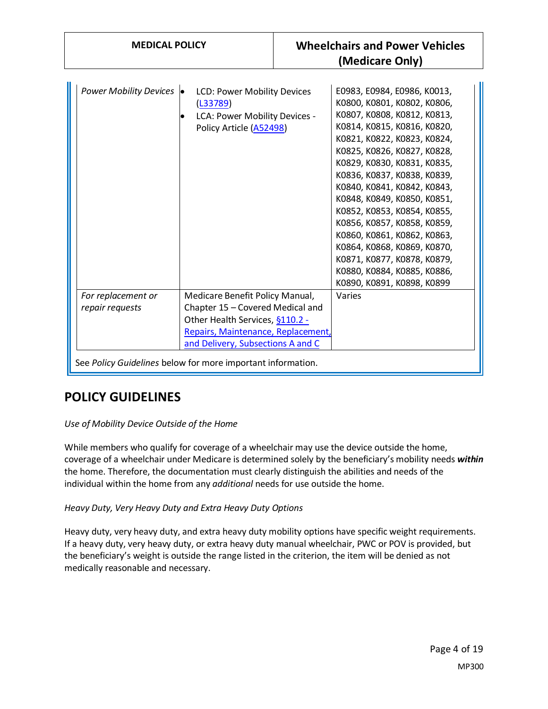| <b>MEDICAL POLICY</b>                                                                                                                                                                                                                                                                     | <b>Wheelchairs and Power Vehicles</b><br>(Medicare Only)                                                                                                                                                                                                                                                                                                                                                                                                                                                                                   |
|-------------------------------------------------------------------------------------------------------------------------------------------------------------------------------------------------------------------------------------------------------------------------------------------|--------------------------------------------------------------------------------------------------------------------------------------------------------------------------------------------------------------------------------------------------------------------------------------------------------------------------------------------------------------------------------------------------------------------------------------------------------------------------------------------------------------------------------------------|
| Power Mobility Devices •<br>LCD: Power Mobility Devices<br>(L33789)<br>LCA: Power Mobility Devices -<br>Policy Article (A52498)                                                                                                                                                           | E0983, E0984, E0986, K0013,<br>K0800, K0801, K0802, K0806,<br>K0807, K0808, K0812, K0813,<br>K0814, K0815, K0816, K0820,<br>K0821, K0822, K0823, K0824,<br>K0825, K0826, K0827, K0828,<br>K0829, K0830, K0831, K0835,<br>K0836, K0837, K0838, K0839,<br>K0840, K0841, K0842, K0843,<br>K0848, K0849, K0850, K0851,<br>K0852, K0853, K0854, K0855,<br>K0856, K0857, K0858, K0859,<br>K0860, K0861, K0862, K0863,<br>K0864, K0868, K0869, K0870,<br>K0871, K0877, K0878, K0879,<br>K0880, K0884, K0885, K0886,<br>K0890, K0891, K0898, K0899 |
| For replacement or<br>Medicare Benefit Policy Manual,<br>Chapter 15 - Covered Medical and<br>repair requests<br>Other Health Services, §110.2 -<br>Repairs, Maintenance, Replacement,<br>and Delivery, Subsections A and C<br>See Policy Guidelines below for more important information. | Varies                                                                                                                                                                                                                                                                                                                                                                                                                                                                                                                                     |

# **POLICY GUIDELINES**

#### *Use of Mobility Device Outside of the Home*

While members who qualify for coverage of a wheelchair may use the device outside the home, coverage of a wheelchair under Medicare is determined solely by the beneficiary's mobility needs *within* the home. Therefore, the documentation must clearly distinguish the abilities and needs of the individual within the home from any *additional* needs for use outside the home.

*Heavy Duty, Very Heavy Duty and Extra Heavy Duty Options*

Heavy duty, very heavy duty, and extra heavy duty mobility options have specific weight requirements. If a heavy duty, very heavy duty, or extra heavy duty manual wheelchair, PWC or POV is provided, but the beneficiary's weight is outside the range listed in the criterion, the item will be denied as not medically reasonable and necessary.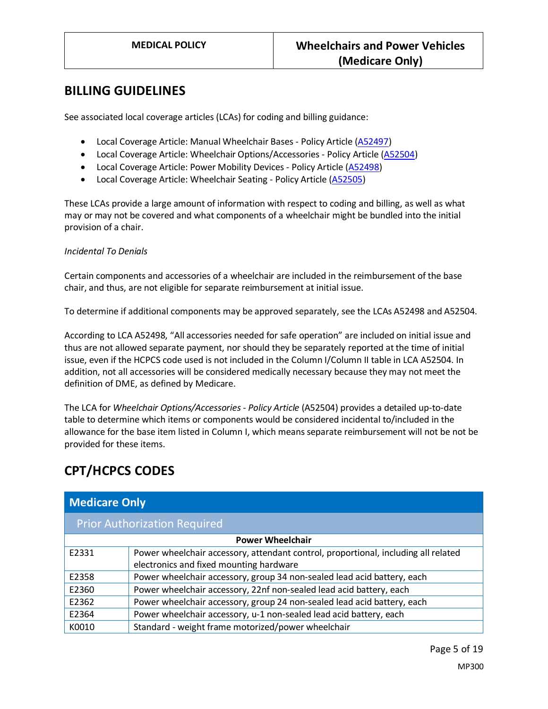### **BILLING GUIDELINES**

See associated local coverage articles (LCAs) for coding and billing guidance:

- Local Coverage Article: Manual Wheelchair Bases Policy Article [\(A52497\)](https://www.cms.gov/medicare-coverage-database/details/article-details.aspx?articleId=52497)
- Local Coverage Article: Wheelchair Options/Accessories Policy Article [\(A52504\)](https://www.cms.gov/medicare-coverage-database/details/article-details.aspx?articleId=52504)
- Local Coverage Article: Power Mobility Devices Policy Article [\(A52498\)](https://www.cms.gov/medicare-coverage-database/details/article-details.aspx?articleId=52498)
- Local Coverage Article: Wheelchair Seating Policy Article [\(A52505\)](https://www.cms.gov/medicare-coverage-database/details/article-details.aspx?articleId=52505)

These LCAs provide a large amount of information with respect to coding and billing, as well as what may or may not be covered and what components of a wheelchair might be bundled into the initial provision of a chair.

#### *Incidental To Denials*

Certain components and accessories of a wheelchair are included in the reimbursement of the base chair, and thus, are not eligible for separate reimbursement at initial issue.

To determine if additional components may be approved separately, see the LCAs A52498 and A52504.

According to LCA A52498, "All accessories needed for safe operation" are included on initial issue and thus are not allowed separate payment, nor should they be separately reported at the time of initial issue, even if the HCPCS code used is not included in the Column I/Column II table in LCA A52504. In addition, not all accessories will be considered medically necessary because they may not meet the definition of DME, as defined by Medicare.

The LCA for *Wheelchair Options/Accessories - Policy Article* (A52504) provides a detailed up-to-date table to determine which items or components would be considered incidental to/included in the allowance for the base item listed in Column I, which means separate reimbursement will not be not be provided for these items.

# **CPT/HCPCS CODES**

| <b>Medicare Only</b>                |                                                                                    |  |
|-------------------------------------|------------------------------------------------------------------------------------|--|
| <b>Prior Authorization Required</b> |                                                                                    |  |
| <b>Power Wheelchair</b>             |                                                                                    |  |
| E2331                               | Power wheelchair accessory, attendant control, proportional, including all related |  |
|                                     | electronics and fixed mounting hardware                                            |  |
| E2358                               | Power wheelchair accessory, group 34 non-sealed lead acid battery, each            |  |
| E2360                               | Power wheelchair accessory, 22nf non-sealed lead acid battery, each                |  |
| E2362                               | Power wheelchair accessory, group 24 non-sealed lead acid battery, each            |  |
| E2364                               | Power wheelchair accessory, u-1 non-sealed lead acid battery, each                 |  |
| K0010                               | Standard - weight frame motorized/power wheelchair                                 |  |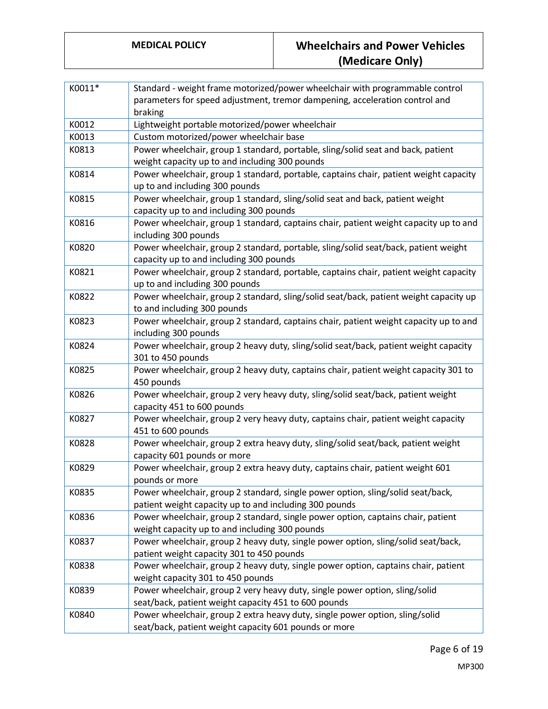| K0011* | Standard - weight frame motorized/power wheelchair with programmable control<br>parameters for speed adjustment, tremor dampening, acceleration control and<br>braking |
|--------|------------------------------------------------------------------------------------------------------------------------------------------------------------------------|
| K0012  | Lightweight portable motorized/power wheelchair                                                                                                                        |
| K0013  | Custom motorized/power wheelchair base                                                                                                                                 |
| K0813  | Power wheelchair, group 1 standard, portable, sling/solid seat and back, patient<br>weight capacity up to and including 300 pounds                                     |
| K0814  | Power wheelchair, group 1 standard, portable, captains chair, patient weight capacity<br>up to and including 300 pounds                                                |
| K0815  | Power wheelchair, group 1 standard, sling/solid seat and back, patient weight<br>capacity up to and including 300 pounds                                               |
| K0816  | Power wheelchair, group 1 standard, captains chair, patient weight capacity up to and<br>including 300 pounds                                                          |
| K0820  | Power wheelchair, group 2 standard, portable, sling/solid seat/back, patient weight<br>capacity up to and including 300 pounds                                         |
| K0821  | Power wheelchair, group 2 standard, portable, captains chair, patient weight capacity<br>up to and including 300 pounds                                                |
| K0822  | Power wheelchair, group 2 standard, sling/solid seat/back, patient weight capacity up<br>to and including 300 pounds                                                   |
| K0823  | Power wheelchair, group 2 standard, captains chair, patient weight capacity up to and<br>including 300 pounds                                                          |
| K0824  | Power wheelchair, group 2 heavy duty, sling/solid seat/back, patient weight capacity<br>301 to 450 pounds                                                              |
| K0825  | Power wheelchair, group 2 heavy duty, captains chair, patient weight capacity 301 to<br>450 pounds                                                                     |
| K0826  | Power wheelchair, group 2 very heavy duty, sling/solid seat/back, patient weight<br>capacity 451 to 600 pounds                                                         |
| K0827  | Power wheelchair, group 2 very heavy duty, captains chair, patient weight capacity<br>451 to 600 pounds                                                                |
| K0828  | Power wheelchair, group 2 extra heavy duty, sling/solid seat/back, patient weight<br>capacity 601 pounds or more                                                       |
| K0829  | Power wheelchair, group 2 extra heavy duty, captains chair, patient weight 601<br>pounds or more                                                                       |
| K0835  | Power wheelchair, group 2 standard, single power option, sling/solid seat/back,<br>patient weight capacity up to and including 300 pounds                              |
| K0836  | Power wheelchair, group 2 standard, single power option, captains chair, patient<br>weight capacity up to and including 300 pounds                                     |
| K0837  | Power wheelchair, group 2 heavy duty, single power option, sling/solid seat/back,<br>patient weight capacity 301 to 450 pounds                                         |
| K0838  | Power wheelchair, group 2 heavy duty, single power option, captains chair, patient<br>weight capacity 301 to 450 pounds                                                |
| K0839  | Power wheelchair, group 2 very heavy duty, single power option, sling/solid<br>seat/back, patient weight capacity 451 to 600 pounds                                    |
| K0840  | Power wheelchair, group 2 extra heavy duty, single power option, sling/solid<br>seat/back, patient weight capacity 601 pounds or more                                  |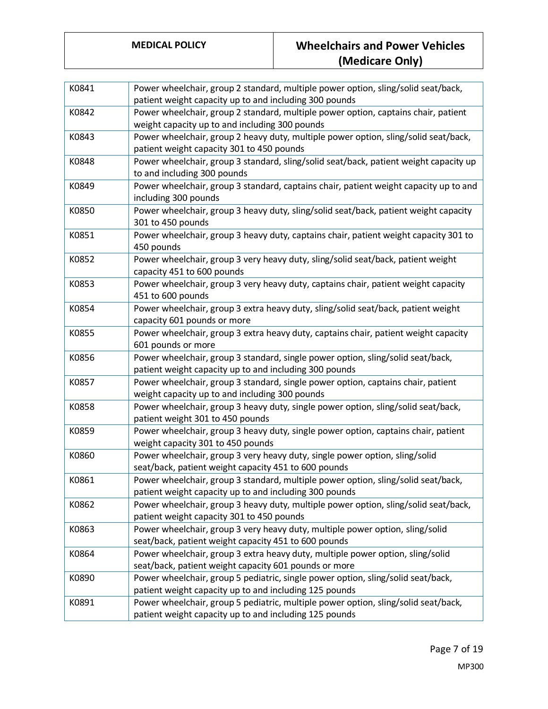| K0841 | Power wheelchair, group 2 standard, multiple power option, sling/solid seat/back,<br>patient weight capacity up to and including 300 pounds  |
|-------|----------------------------------------------------------------------------------------------------------------------------------------------|
| K0842 | Power wheelchair, group 2 standard, multiple power option, captains chair, patient<br>weight capacity up to and including 300 pounds         |
| K0843 | Power wheelchair, group 2 heavy duty, multiple power option, sling/solid seat/back,<br>patient weight capacity 301 to 450 pounds             |
| K0848 | Power wheelchair, group 3 standard, sling/solid seat/back, patient weight capacity up<br>to and including 300 pounds                         |
| K0849 | Power wheelchair, group 3 standard, captains chair, patient weight capacity up to and<br>including 300 pounds                                |
| K0850 | Power wheelchair, group 3 heavy duty, sling/solid seat/back, patient weight capacity<br>301 to 450 pounds                                    |
| K0851 | Power wheelchair, group 3 heavy duty, captains chair, patient weight capacity 301 to<br>450 pounds                                           |
| K0852 | Power wheelchair, group 3 very heavy duty, sling/solid seat/back, patient weight<br>capacity 451 to 600 pounds                               |
| K0853 | Power wheelchair, group 3 very heavy duty, captains chair, patient weight capacity<br>451 to 600 pounds                                      |
| K0854 | Power wheelchair, group 3 extra heavy duty, sling/solid seat/back, patient weight<br>capacity 601 pounds or more                             |
| K0855 | Power wheelchair, group 3 extra heavy duty, captains chair, patient weight capacity<br>601 pounds or more                                    |
| K0856 | Power wheelchair, group 3 standard, single power option, sling/solid seat/back,<br>patient weight capacity up to and including 300 pounds    |
| K0857 | Power wheelchair, group 3 standard, single power option, captains chair, patient<br>weight capacity up to and including 300 pounds           |
| K0858 | Power wheelchair, group 3 heavy duty, single power option, sling/solid seat/back,<br>patient weight 301 to 450 pounds                        |
| K0859 | Power wheelchair, group 3 heavy duty, single power option, captains chair, patient<br>weight capacity 301 to 450 pounds                      |
| K0860 | Power wheelchair, group 3 very heavy duty, single power option, sling/solid<br>seat/back, patient weight capacity 451 to 600 pounds          |
| K0861 | Power wheelchair, group 3 standard, multiple power option, sling/solid seat/back,<br>patient weight capacity up to and including 300 pounds  |
| K0862 | Power wheelchair, group 3 heavy duty, multiple power option, sling/solid seat/back,<br>patient weight capacity 301 to 450 pounds             |
| K0863 | Power wheelchair, group 3 very heavy duty, multiple power option, sling/solid<br>seat/back, patient weight capacity 451 to 600 pounds        |
| K0864 | Power wheelchair, group 3 extra heavy duty, multiple power option, sling/solid<br>seat/back, patient weight capacity 601 pounds or more      |
| K0890 | Power wheelchair, group 5 pediatric, single power option, sling/solid seat/back,<br>patient weight capacity up to and including 125 pounds   |
| K0891 | Power wheelchair, group 5 pediatric, multiple power option, sling/solid seat/back,<br>patient weight capacity up to and including 125 pounds |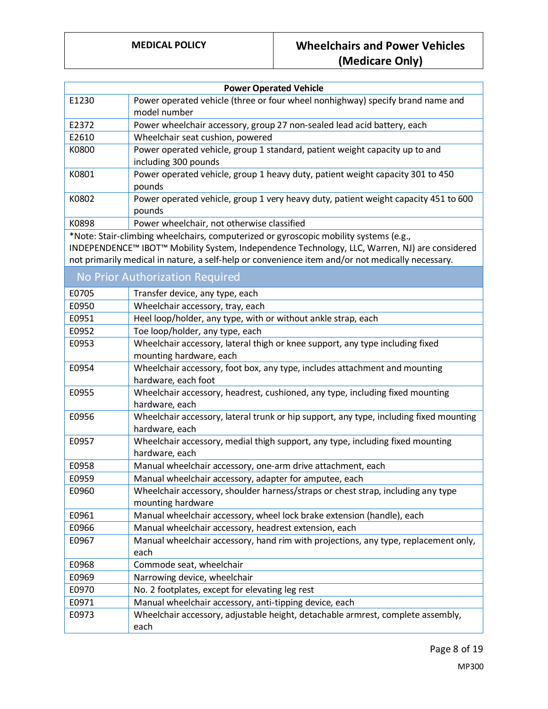| <b>Power Operated Vehicle</b>                                                                                                                                                                                                                                                              |                                                                                                          |  |
|--------------------------------------------------------------------------------------------------------------------------------------------------------------------------------------------------------------------------------------------------------------------------------------------|----------------------------------------------------------------------------------------------------------|--|
| E1230                                                                                                                                                                                                                                                                                      | Power operated vehicle (three or four wheel nonhighway) specify brand name and<br>model number           |  |
| E2372                                                                                                                                                                                                                                                                                      | Power wheelchair accessory, group 27 non-sealed lead acid battery, each                                  |  |
| E2610                                                                                                                                                                                                                                                                                      | Wheelchair seat cushion, powered                                                                         |  |
| K0800                                                                                                                                                                                                                                                                                      | Power operated vehicle, group 1 standard, patient weight capacity up to and<br>including 300 pounds      |  |
| K0801                                                                                                                                                                                                                                                                                      | Power operated vehicle, group 1 heavy duty, patient weight capacity 301 to 450<br>pounds                 |  |
| K0802                                                                                                                                                                                                                                                                                      | Power operated vehicle, group 1 very heavy duty, patient weight capacity 451 to 600<br>pounds            |  |
| K0898                                                                                                                                                                                                                                                                                      | Power wheelchair, not otherwise classified                                                               |  |
| *Note: Stair-climbing wheelchairs, computerized or gyroscopic mobility systems (e.g.,<br>INDEPENDENCE™ IBOT™ Mobility System, Independence Technology, LLC, Warren, NJ) are considered<br>not primarily medical in nature, a self-help or convenience item and/or not medically necessary. |                                                                                                          |  |
|                                                                                                                                                                                                                                                                                            | No Prior Authorization Required                                                                          |  |
| E0705                                                                                                                                                                                                                                                                                      | Transfer device, any type, each                                                                          |  |
| E0950                                                                                                                                                                                                                                                                                      | Wheelchair accessory, tray, each                                                                         |  |
| E0951                                                                                                                                                                                                                                                                                      | Heel loop/holder, any type, with or without ankle strap, each                                            |  |
| E0952                                                                                                                                                                                                                                                                                      | Toe loop/holder, any type, each                                                                          |  |
| E0953                                                                                                                                                                                                                                                                                      | Wheelchair accessory, lateral thigh or knee support, any type including fixed<br>mounting hardware, each |  |
| E0954                                                                                                                                                                                                                                                                                      | Wheelchair accessory, foot box, any type, includes attachment and mounting<br>hardware, each foot        |  |
| E0955                                                                                                                                                                                                                                                                                      | Wheelchair accessory, headrest, cushioned, any type, including fixed mounting<br>hardware, each          |  |
| E0956                                                                                                                                                                                                                                                                                      | Wheelchair accessory, lateral trunk or hip support, any type, including fixed mounting<br>hardware, each |  |
| E0957                                                                                                                                                                                                                                                                                      | Wheelchair accessory, medial thigh support, any type, including fixed mounting<br>hardware, each         |  |
| E0958                                                                                                                                                                                                                                                                                      | Manual wheelchair accessory, one-arm drive attachment, each                                              |  |
| E0959                                                                                                                                                                                                                                                                                      | Manual wheelchair accessory, adapter for amputee, each                                                   |  |
| E0960                                                                                                                                                                                                                                                                                      | Wheelchair accessory, shoulder harness/straps or chest strap, including any type<br>mounting hardware    |  |
| E0961                                                                                                                                                                                                                                                                                      | Manual wheelchair accessory, wheel lock brake extension (handle), each                                   |  |
| E0966                                                                                                                                                                                                                                                                                      | Manual wheelchair accessory, headrest extension, each                                                    |  |
| E0967                                                                                                                                                                                                                                                                                      | Manual wheelchair accessory, hand rim with projections, any type, replacement only,<br>each              |  |
| E0968                                                                                                                                                                                                                                                                                      | Commode seat, wheelchair                                                                                 |  |
| E0969                                                                                                                                                                                                                                                                                      | Narrowing device, wheelchair                                                                             |  |
| E0970                                                                                                                                                                                                                                                                                      | No. 2 footplates, except for elevating leg rest                                                          |  |
| E0971                                                                                                                                                                                                                                                                                      | Manual wheelchair accessory, anti-tipping device, each                                                   |  |
| E0973                                                                                                                                                                                                                                                                                      | Wheelchair accessory, adjustable height, detachable armrest, complete assembly,<br>each                  |  |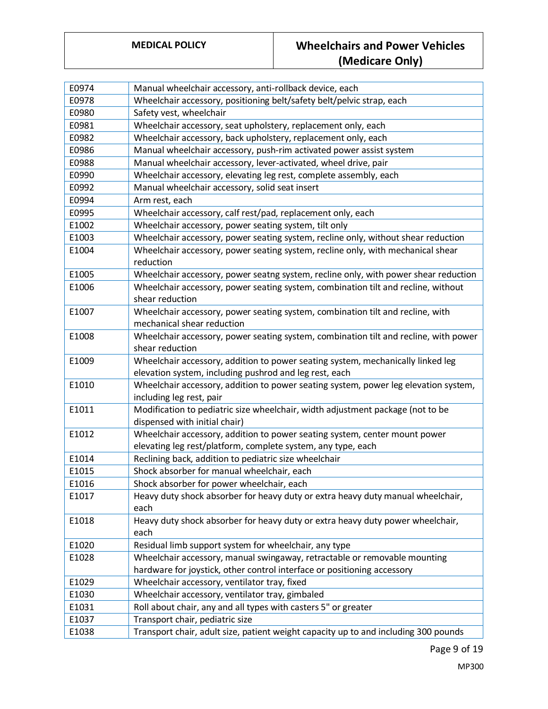| E0974 | Manual wheelchair accessory, anti-rollback device, each                                                         |
|-------|-----------------------------------------------------------------------------------------------------------------|
| E0978 | Wheelchair accessory, positioning belt/safety belt/pelvic strap, each                                           |
| E0980 | Safety vest, wheelchair                                                                                         |
| E0981 | Wheelchair accessory, seat upholstery, replacement only, each                                                   |
| E0982 | Wheelchair accessory, back upholstery, replacement only, each                                                   |
| E0986 | Manual wheelchair accessory, push-rim activated power assist system                                             |
| E0988 | Manual wheelchair accessory, lever-activated, wheel drive, pair                                                 |
| E0990 | Wheelchair accessory, elevating leg rest, complete assembly, each                                               |
| E0992 | Manual wheelchair accessory, solid seat insert                                                                  |
| E0994 | Arm rest, each                                                                                                  |
| E0995 | Wheelchair accessory, calf rest/pad, replacement only, each                                                     |
| E1002 | Wheelchair accessory, power seating system, tilt only                                                           |
| E1003 | Wheelchair accessory, power seating system, recline only, without shear reduction                               |
| E1004 | Wheelchair accessory, power seating system, recline only, with mechanical shear                                 |
|       | reduction                                                                                                       |
| E1005 | Wheelchair accessory, power seatng system, recline only, with power shear reduction                             |
| E1006 | Wheelchair accessory, power seating system, combination tilt and recline, without                               |
|       | shear reduction                                                                                                 |
| E1007 | Wheelchair accessory, power seating system, combination tilt and recline, with                                  |
|       | mechanical shear reduction                                                                                      |
| E1008 | Wheelchair accessory, power seating system, combination tilt and recline, with power                            |
|       | shear reduction                                                                                                 |
| E1009 | Wheelchair accessory, addition to power seating system, mechanically linked leg                                 |
|       | elevation system, including pushrod and leg rest, each                                                          |
| E1010 | Wheelchair accessory, addition to power seating system, power leg elevation system,<br>including leg rest, pair |
| E1011 | Modification to pediatric size wheelchair, width adjustment package (not to be                                  |
|       | dispensed with initial chair)                                                                                   |
| E1012 | Wheelchair accessory, addition to power seating system, center mount power                                      |
|       | elevating leg rest/platform, complete system, any type, each                                                    |
| E1014 | Reclining back, addition to pediatric size wheelchair                                                           |
| E1015 | Shock absorber for manual wheelchair, each                                                                      |
| E1016 | Shock absorber for power wheelchair, each                                                                       |
| E1017 | Heavy duty shock absorber for heavy duty or extra heavy duty manual wheelchair,                                 |
|       | each                                                                                                            |
| E1018 | Heavy duty shock absorber for heavy duty or extra heavy duty power wheelchair,                                  |
|       | each                                                                                                            |
| E1020 | Residual limb support system for wheelchair, any type                                                           |
| E1028 | Wheelchair accessory, manual swingaway, retractable or removable mounting                                       |
|       | hardware for joystick, other control interface or positioning accessory                                         |
| E1029 | Wheelchair accessory, ventilator tray, fixed                                                                    |
| E1030 | Wheelchair accessory, ventilator tray, gimbaled                                                                 |
| E1031 | Roll about chair, any and all types with casters 5" or greater                                                  |
| E1037 | Transport chair, pediatric size                                                                                 |
| E1038 | Transport chair, adult size, patient weight capacity up to and including 300 pounds                             |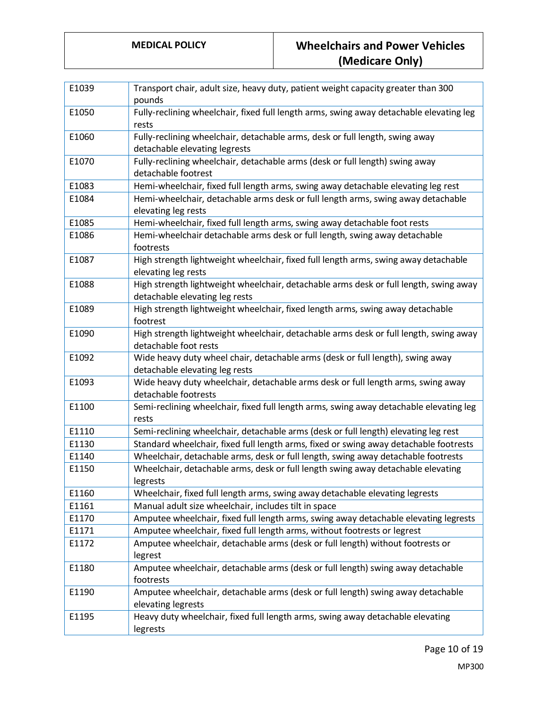| E1039 | Transport chair, adult size, heavy duty, patient weight capacity greater than 300<br>pounds                             |
|-------|-------------------------------------------------------------------------------------------------------------------------|
| E1050 | Fully-reclining wheelchair, fixed full length arms, swing away detachable elevating leg<br>rests                        |
| E1060 | Fully-reclining wheelchair, detachable arms, desk or full length, swing away<br>detachable elevating legrests           |
| E1070 | Fully-reclining wheelchair, detachable arms (desk or full length) swing away<br>detachable footrest                     |
| E1083 | Hemi-wheelchair, fixed full length arms, swing away detachable elevating leg rest                                       |
| E1084 | Hemi-wheelchair, detachable arms desk or full length arms, swing away detachable<br>elevating leg rests                 |
| E1085 | Hemi-wheelchair, fixed full length arms, swing away detachable foot rests                                               |
| E1086 | Hemi-wheelchair detachable arms desk or full length, swing away detachable<br>footrests                                 |
| E1087 | High strength lightweight wheelchair, fixed full length arms, swing away detachable<br>elevating leg rests              |
| E1088 | High strength lightweight wheelchair, detachable arms desk or full length, swing away<br>detachable elevating leg rests |
| E1089 | High strength lightweight wheelchair, fixed length arms, swing away detachable<br>footrest                              |
| E1090 | High strength lightweight wheelchair, detachable arms desk or full length, swing away<br>detachable foot rests          |
| E1092 | Wide heavy duty wheel chair, detachable arms (desk or full length), swing away<br>detachable elevating leg rests        |
| E1093 | Wide heavy duty wheelchair, detachable arms desk or full length arms, swing away<br>detachable footrests                |
| E1100 | Semi-reclining wheelchair, fixed full length arms, swing away detachable elevating leg<br>rests                         |
| E1110 | Semi-reclining wheelchair, detachable arms (desk or full length) elevating leg rest                                     |
| E1130 | Standard wheelchair, fixed full length arms, fixed or swing away detachable footrests                                   |
| E1140 | Wheelchair, detachable arms, desk or full length, swing away detachable footrests                                       |
| E1150 | Wheelchair, detachable arms, desk or full length swing away detachable elevating<br>legrests                            |
| E1160 | Wheelchair, fixed full length arms, swing away detachable elevating legrests                                            |
| E1161 | Manual adult size wheelchair, includes tilt in space                                                                    |
| E1170 | Amputee wheelchair, fixed full length arms, swing away detachable elevating legrests                                    |
| E1171 | Amputee wheelchair, fixed full length arms, without footrests or legrest                                                |
| E1172 | Amputee wheelchair, detachable arms (desk or full length) without footrests or<br>legrest                               |
| E1180 | Amputee wheelchair, detachable arms (desk or full length) swing away detachable<br>footrests                            |
| E1190 | Amputee wheelchair, detachable arms (desk or full length) swing away detachable<br>elevating legrests                   |
| E1195 | Heavy duty wheelchair, fixed full length arms, swing away detachable elevating<br>legrests                              |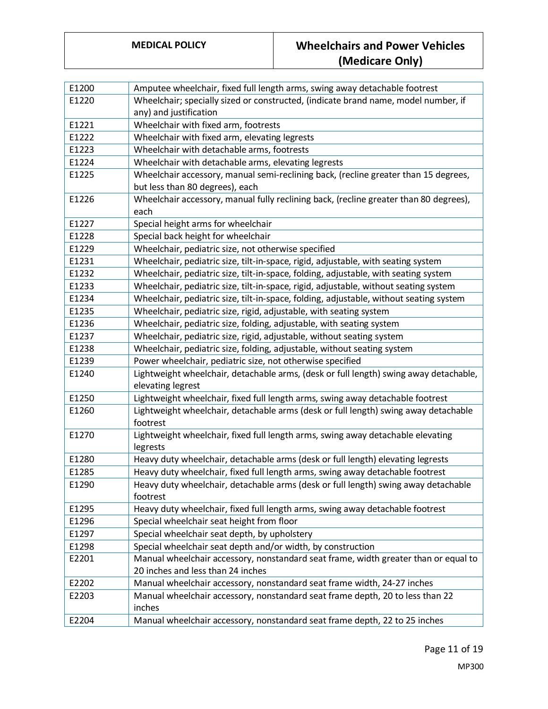| E1200 | Amputee wheelchair, fixed full length arms, swing away detachable footrest             |
|-------|----------------------------------------------------------------------------------------|
| E1220 | Wheelchair; specially sized or constructed, (indicate brand name, model number, if     |
|       | any) and justification                                                                 |
| E1221 | Wheelchair with fixed arm, footrests                                                   |
| E1222 | Wheelchair with fixed arm, elevating legrests                                          |
| E1223 | Wheelchair with detachable arms, footrests                                             |
| E1224 | Wheelchair with detachable arms, elevating legrests                                    |
| E1225 | Wheelchair accessory, manual semi-reclining back, (recline greater than 15 degrees,    |
|       | but less than 80 degrees), each                                                        |
| E1226 | Wheelchair accessory, manual fully reclining back, (recline greater than 80 degrees),  |
|       | each                                                                                   |
| E1227 | Special height arms for wheelchair                                                     |
| E1228 | Special back height for wheelchair                                                     |
| E1229 | Wheelchair, pediatric size, not otherwise specified                                    |
| E1231 | Wheelchair, pediatric size, tilt-in-space, rigid, adjustable, with seating system      |
| E1232 | Wheelchair, pediatric size, tilt-in-space, folding, adjustable, with seating system    |
| E1233 | Wheelchair, pediatric size, tilt-in-space, rigid, adjustable, without seating system   |
| E1234 | Wheelchair, pediatric size, tilt-in-space, folding, adjustable, without seating system |
| E1235 | Wheelchair, pediatric size, rigid, adjustable, with seating system                     |
| E1236 | Wheelchair, pediatric size, folding, adjustable, with seating system                   |
| E1237 | Wheelchair, pediatric size, rigid, adjustable, without seating system                  |
| E1238 | Wheelchair, pediatric size, folding, adjustable, without seating system                |
| E1239 | Power wheelchair, pediatric size, not otherwise specified                              |
| E1240 | Lightweight wheelchair, detachable arms, (desk or full length) swing away detachable,  |
|       | elevating legrest                                                                      |
| E1250 | Lightweight wheelchair, fixed full length arms, swing away detachable footrest         |
| E1260 | Lightweight wheelchair, detachable arms (desk or full length) swing away detachable    |
|       | footrest                                                                               |
| E1270 | Lightweight wheelchair, fixed full length arms, swing away detachable elevating        |
|       | legrests                                                                               |
| E1280 | Heavy duty wheelchair, detachable arms (desk or full length) elevating legrests        |
| E1285 | Heavy duty wheelchair, fixed full length arms, swing away detachable footrest          |
| E1290 | Heavy duty wheelchair, detachable arms (desk or full length) swing away detachable     |
|       | footrest                                                                               |
| E1295 | Heavy duty wheelchair, fixed full length arms, swing away detachable footrest          |
| E1296 | Special wheelchair seat height from floor                                              |
| E1297 | Special wheelchair seat depth, by upholstery                                           |
| E1298 | Special wheelchair seat depth and/or width, by construction                            |
| E2201 | Manual wheelchair accessory, nonstandard seat frame, width greater than or equal to    |
|       | 20 inches and less than 24 inches                                                      |
| E2202 | Manual wheelchair accessory, nonstandard seat frame width, 24-27 inches                |
| E2203 | Manual wheelchair accessory, nonstandard seat frame depth, 20 to less than 22          |
|       | inches                                                                                 |
| E2204 | Manual wheelchair accessory, nonstandard seat frame depth, 22 to 25 inches             |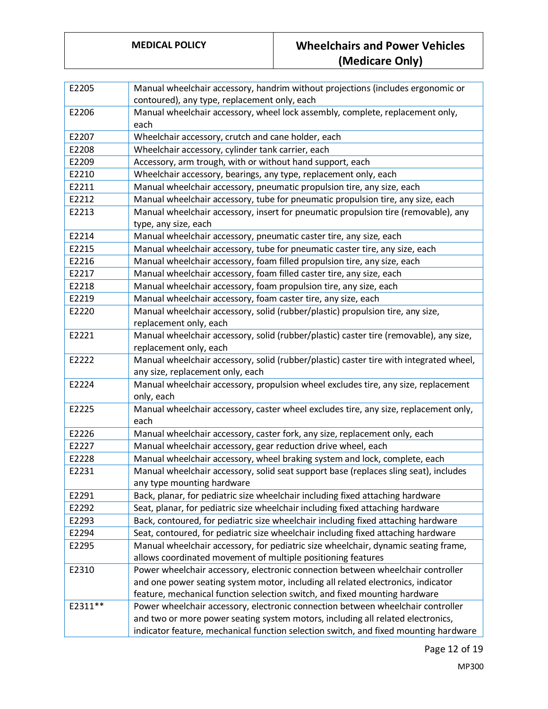| E2205   | Manual wheelchair accessory, handrim without projections (includes ergonomic or                                    |
|---------|--------------------------------------------------------------------------------------------------------------------|
|         | contoured), any type, replacement only, each                                                                       |
| E2206   | Manual wheelchair accessory, wheel lock assembly, complete, replacement only,<br>each                              |
| E2207   | Wheelchair accessory, crutch and cane holder, each                                                                 |
| E2208   | Wheelchair accessory, cylinder tank carrier, each                                                                  |
| E2209   | Accessory, arm trough, with or without hand support, each                                                          |
| E2210   | Wheelchair accessory, bearings, any type, replacement only, each                                                   |
| E2211   | Manual wheelchair accessory, pneumatic propulsion tire, any size, each                                             |
| E2212   | Manual wheelchair accessory, tube for pneumatic propulsion tire, any size, each                                    |
| E2213   | Manual wheelchair accessory, insert for pneumatic propulsion tire (removable), any<br>type, any size, each         |
| E2214   | Manual wheelchair accessory, pneumatic caster tire, any size, each                                                 |
| E2215   | Manual wheelchair accessory, tube for pneumatic caster tire, any size, each                                        |
| E2216   | Manual wheelchair accessory, foam filled propulsion tire, any size, each                                           |
| E2217   | Manual wheelchair accessory, foam filled caster tire, any size, each                                               |
| E2218   | Manual wheelchair accessory, foam propulsion tire, any size, each                                                  |
| E2219   | Manual wheelchair accessory, foam caster tire, any size, each                                                      |
| E2220   | Manual wheelchair accessory, solid (rubber/plastic) propulsion tire, any size,                                     |
|         | replacement only, each                                                                                             |
| E2221   | Manual wheelchair accessory, solid (rubber/plastic) caster tire (removable), any size,                             |
|         | replacement only, each                                                                                             |
| E2222   | Manual wheelchair accessory, solid (rubber/plastic) caster tire with integrated wheel,                             |
|         | any size, replacement only, each                                                                                   |
| E2224   | Manual wheelchair accessory, propulsion wheel excludes tire, any size, replacement                                 |
|         | only, each                                                                                                         |
| E2225   | Manual wheelchair accessory, caster wheel excludes tire, any size, replacement only,<br>each                       |
| E2226   | Manual wheelchair accessory, caster fork, any size, replacement only, each                                         |
| E2227   | Manual wheelchair accessory, gear reduction drive wheel, each                                                      |
| E2228   | Manual wheelchair accessory, wheel braking system and lock, complete, each                                         |
| E2231   | Manual wheelchair accessory, solid seat support base (replaces sling seat), includes<br>any type mounting hardware |
| E2291   | Back, planar, for pediatric size wheelchair including fixed attaching hardware                                     |
| E2292   | Seat, planar, for pediatric size wheelchair including fixed attaching hardware                                     |
| E2293   | Back, contoured, for pediatric size wheelchair including fixed attaching hardware                                  |
| E2294   | Seat, contoured, for pediatric size wheelchair including fixed attaching hardware                                  |
| E2295   | Manual wheelchair accessory, for pediatric size wheelchair, dynamic seating frame,                                 |
|         | allows coordinated movement of multiple positioning features                                                       |
| E2310   | Power wheelchair accessory, electronic connection between wheelchair controller                                    |
|         | and one power seating system motor, including all related electronics, indicator                                   |
|         | feature, mechanical function selection switch, and fixed mounting hardware                                         |
| E2311** | Power wheelchair accessory, electronic connection between wheelchair controller                                    |
|         | and two or more power seating system motors, including all related electronics,                                    |
|         | indicator feature, mechanical function selection switch, and fixed mounting hardware                               |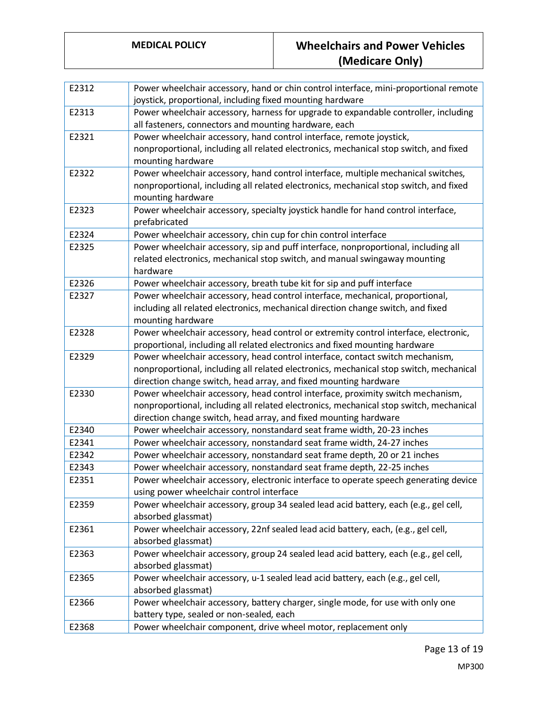| E2312 | Power wheelchair accessory, hand or chin control interface, mini-proportional remote   |
|-------|----------------------------------------------------------------------------------------|
|       | joystick, proportional, including fixed mounting hardware                              |
| E2313 | Power wheelchair accessory, harness for upgrade to expandable controller, including    |
|       | all fasteners, connectors and mounting hardware, each                                  |
| E2321 | Power wheelchair accessory, hand control interface, remote joystick,                   |
|       | nonproportional, including all related electronics, mechanical stop switch, and fixed  |
|       | mounting hardware                                                                      |
| E2322 | Power wheelchair accessory, hand control interface, multiple mechanical switches,      |
|       | nonproportional, including all related electronics, mechanical stop switch, and fixed  |
|       | mounting hardware                                                                      |
| E2323 | Power wheelchair accessory, specialty joystick handle for hand control interface,      |
|       | prefabricated                                                                          |
| E2324 | Power wheelchair accessory, chin cup for chin control interface                        |
| E2325 | Power wheelchair accessory, sip and puff interface, nonproportional, including all     |
|       | related electronics, mechanical stop switch, and manual swingaway mounting             |
|       | hardware                                                                               |
| E2326 | Power wheelchair accessory, breath tube kit for sip and puff interface                 |
| E2327 | Power wheelchair accessory, head control interface, mechanical, proportional,          |
|       | including all related electronics, mechanical direction change switch, and fixed       |
|       | mounting hardware                                                                      |
| E2328 | Power wheelchair accessory, head control or extremity control interface, electronic,   |
|       | proportional, including all related electronics and fixed mounting hardware            |
| E2329 | Power wheelchair accessory, head control interface, contact switch mechanism,          |
|       | nonproportional, including all related electronics, mechanical stop switch, mechanical |
|       | direction change switch, head array, and fixed mounting hardware                       |
| E2330 | Power wheelchair accessory, head control interface, proximity switch mechanism,        |
|       | nonproportional, including all related electronics, mechanical stop switch, mechanical |
|       | direction change switch, head array, and fixed mounting hardware                       |
| E2340 | Power wheelchair accessory, nonstandard seat frame width, 20-23 inches                 |
| E2341 | Power wheelchair accessory, nonstandard seat frame width, 24-27 inches                 |
| E2342 | Power wheelchair accessory, nonstandard seat frame depth, 20 or 21 inches              |
| E2343 | Power wheelchair accessory, nonstandard seat frame depth, 22-25 inches                 |
| E2351 | Power wheelchair accessory, electronic interface to operate speech generating device   |
|       | using power wheelchair control interface                                               |
| E2359 | Power wheelchair accessory, group 34 sealed lead acid battery, each (e.g., gel cell,   |
|       | absorbed glassmat)                                                                     |
| E2361 | Power wheelchair accessory, 22nf sealed lead acid battery, each, (e.g., gel cell,      |
|       | absorbed glassmat)                                                                     |
| E2363 | Power wheelchair accessory, group 24 sealed lead acid battery, each (e.g., gel cell,   |
|       | absorbed glassmat)                                                                     |
| E2365 | Power wheelchair accessory, u-1 sealed lead acid battery, each (e.g., gel cell,        |
|       | absorbed glassmat)                                                                     |
| E2366 | Power wheelchair accessory, battery charger, single mode, for use with only one        |
|       | battery type, sealed or non-sealed, each                                               |
| E2368 | Power wheelchair component, drive wheel motor, replacement only                        |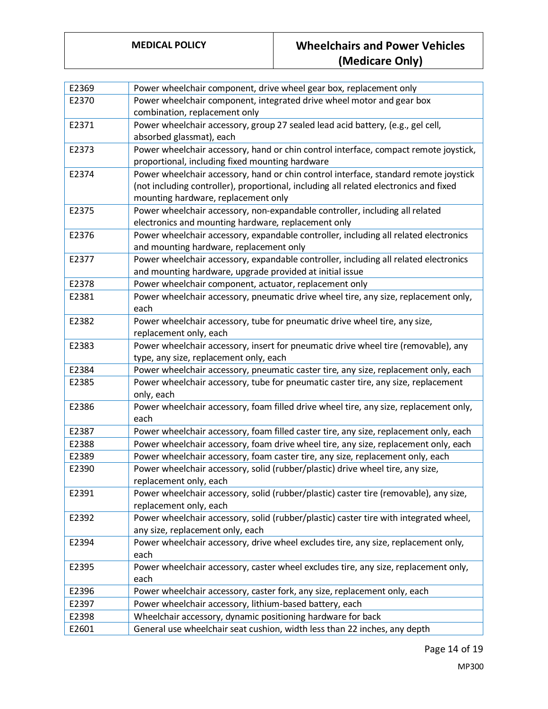| E2369                                     | Power wheelchair component, drive wheel gear box, replacement only                                                                                                                                                                                                                                                                                                                      |
|-------------------------------------------|-----------------------------------------------------------------------------------------------------------------------------------------------------------------------------------------------------------------------------------------------------------------------------------------------------------------------------------------------------------------------------------------|
| E2370                                     | Power wheelchair component, integrated drive wheel motor and gear box                                                                                                                                                                                                                                                                                                                   |
|                                           | combination, replacement only                                                                                                                                                                                                                                                                                                                                                           |
| E2371                                     | Power wheelchair accessory, group 27 sealed lead acid battery, (e.g., gel cell,                                                                                                                                                                                                                                                                                                         |
|                                           | absorbed glassmat), each                                                                                                                                                                                                                                                                                                                                                                |
| E2373                                     | Power wheelchair accessory, hand or chin control interface, compact remote joystick,                                                                                                                                                                                                                                                                                                    |
|                                           | proportional, including fixed mounting hardware                                                                                                                                                                                                                                                                                                                                         |
| E2374                                     | Power wheelchair accessory, hand or chin control interface, standard remote joystick                                                                                                                                                                                                                                                                                                    |
|                                           | (not including controller), proportional, including all related electronics and fixed                                                                                                                                                                                                                                                                                                   |
|                                           | mounting hardware, replacement only                                                                                                                                                                                                                                                                                                                                                     |
| E2375                                     | Power wheelchair accessory, non-expandable controller, including all related                                                                                                                                                                                                                                                                                                            |
|                                           | electronics and mounting hardware, replacement only                                                                                                                                                                                                                                                                                                                                     |
| E2376                                     | Power wheelchair accessory, expandable controller, including all related electronics                                                                                                                                                                                                                                                                                                    |
|                                           | and mounting hardware, replacement only                                                                                                                                                                                                                                                                                                                                                 |
| E2377                                     | Power wheelchair accessory, expandable controller, including all related electronics                                                                                                                                                                                                                                                                                                    |
|                                           | and mounting hardware, upgrade provided at initial issue                                                                                                                                                                                                                                                                                                                                |
| E2378                                     | Power wheelchair component, actuator, replacement only                                                                                                                                                                                                                                                                                                                                  |
| E2381                                     | Power wheelchair accessory, pneumatic drive wheel tire, any size, replacement only,<br>each                                                                                                                                                                                                                                                                                             |
| E2382                                     | Power wheelchair accessory, tube for pneumatic drive wheel tire, any size,                                                                                                                                                                                                                                                                                                              |
|                                           | replacement only, each                                                                                                                                                                                                                                                                                                                                                                  |
| E2383                                     | Power wheelchair accessory, insert for pneumatic drive wheel tire (removable), any                                                                                                                                                                                                                                                                                                      |
|                                           | type, any size, replacement only, each                                                                                                                                                                                                                                                                                                                                                  |
| E2384                                     | Power wheelchair accessory, pneumatic caster tire, any size, replacement only, each                                                                                                                                                                                                                                                                                                     |
| E2385                                     | Power wheelchair accessory, tube for pneumatic caster tire, any size, replacement                                                                                                                                                                                                                                                                                                       |
|                                           | only, each                                                                                                                                                                                                                                                                                                                                                                              |
| E2386                                     | Power wheelchair accessory, foam filled drive wheel tire, any size, replacement only,                                                                                                                                                                                                                                                                                                   |
|                                           | each                                                                                                                                                                                                                                                                                                                                                                                    |
| E2387                                     | Power wheelchair accessory, foam filled caster tire, any size, replacement only, each                                                                                                                                                                                                                                                                                                   |
| E2388                                     | Power wheelchair accessory, foam drive wheel tire, any size, replacement only, each                                                                                                                                                                                                                                                                                                     |
| E2389                                     | Power wheelchair accessory, foam caster tire, any size, replacement only, each                                                                                                                                                                                                                                                                                                          |
| E2390                                     | Power wheelchair accessory, solid (rubber/plastic) drive wheel tire, any size,                                                                                                                                                                                                                                                                                                          |
|                                           | replacement only, each                                                                                                                                                                                                                                                                                                                                                                  |
| E2391                                     | Power wheelchair accessory, solid (rubber/plastic) caster tire (removable), any size,                                                                                                                                                                                                                                                                                                   |
|                                           | replacement only, each                                                                                                                                                                                                                                                                                                                                                                  |
| E2392                                     | Power wheelchair accessory, solid (rubber/plastic) caster tire with integrated wheel,                                                                                                                                                                                                                                                                                                   |
|                                           | any size, replacement only, each                                                                                                                                                                                                                                                                                                                                                        |
| E2394                                     | Power wheelchair accessory, drive wheel excludes tire, any size, replacement only,                                                                                                                                                                                                                                                                                                      |
|                                           |                                                                                                                                                                                                                                                                                                                                                                                         |
|                                           |                                                                                                                                                                                                                                                                                                                                                                                         |
|                                           |                                                                                                                                                                                                                                                                                                                                                                                         |
|                                           |                                                                                                                                                                                                                                                                                                                                                                                         |
|                                           |                                                                                                                                                                                                                                                                                                                                                                                         |
|                                           |                                                                                                                                                                                                                                                                                                                                                                                         |
| E2395<br>E2396<br>E2397<br>E2398<br>E2601 | each<br>Power wheelchair accessory, caster wheel excludes tire, any size, replacement only,<br>each<br>Power wheelchair accessory, caster fork, any size, replacement only, each<br>Power wheelchair accessory, lithium-based battery, each<br>Wheelchair accessory, dynamic positioning hardware for back<br>General use wheelchair seat cushion, width less than 22 inches, any depth |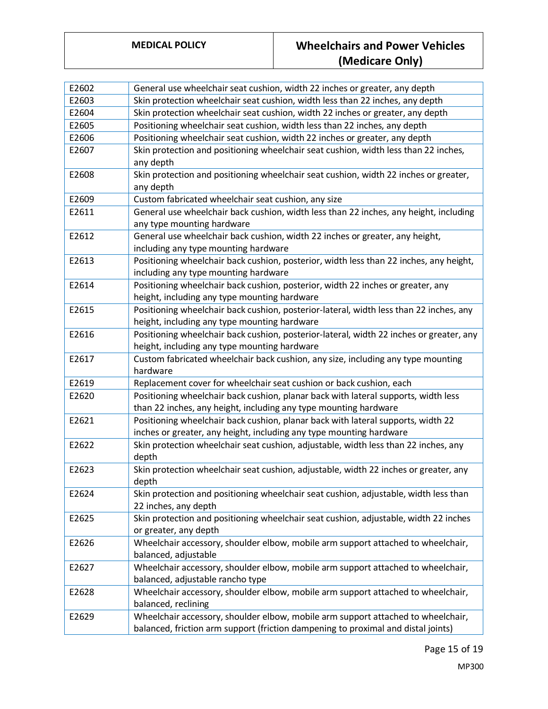| E2602 | General use wheelchair seat cushion, width 22 inches or greater, any depth                                                                                            |
|-------|-----------------------------------------------------------------------------------------------------------------------------------------------------------------------|
| E2603 | Skin protection wheelchair seat cushion, width less than 22 inches, any depth                                                                                         |
| E2604 | Skin protection wheelchair seat cushion, width 22 inches or greater, any depth                                                                                        |
| E2605 | Positioning wheelchair seat cushion, width less than 22 inches, any depth                                                                                             |
| E2606 | Positioning wheelchair seat cushion, width 22 inches or greater, any depth                                                                                            |
| E2607 | Skin protection and positioning wheelchair seat cushion, width less than 22 inches,<br>any depth                                                                      |
| E2608 | Skin protection and positioning wheelchair seat cushion, width 22 inches or greater,<br>any depth                                                                     |
| E2609 | Custom fabricated wheelchair seat cushion, any size                                                                                                                   |
| E2611 | General use wheelchair back cushion, width less than 22 inches, any height, including<br>any type mounting hardware                                                   |
| E2612 | General use wheelchair back cushion, width 22 inches or greater, any height,<br>including any type mounting hardware                                                  |
| E2613 | Positioning wheelchair back cushion, posterior, width less than 22 inches, any height,<br>including any type mounting hardware                                        |
| E2614 | Positioning wheelchair back cushion, posterior, width 22 inches or greater, any<br>height, including any type mounting hardware                                       |
| E2615 | Positioning wheelchair back cushion, posterior-lateral, width less than 22 inches, any<br>height, including any type mounting hardware                                |
| E2616 | Positioning wheelchair back cushion, posterior-lateral, width 22 inches or greater, any<br>height, including any type mounting hardware                               |
| E2617 | Custom fabricated wheelchair back cushion, any size, including any type mounting<br>hardware                                                                          |
| E2619 | Replacement cover for wheelchair seat cushion or back cushion, each                                                                                                   |
| E2620 | Positioning wheelchair back cushion, planar back with lateral supports, width less<br>than 22 inches, any height, including any type mounting hardware                |
| E2621 | Positioning wheelchair back cushion, planar back with lateral supports, width 22<br>inches or greater, any height, including any type mounting hardware               |
| E2622 | Skin protection wheelchair seat cushion, adjustable, width less than 22 inches, any<br>depth                                                                          |
| E2623 | Skin protection wheelchair seat cushion, adjustable, width 22 inches or greater, any<br>depth                                                                         |
| E2624 | Skin protection and positioning wheelchair seat cushion, adjustable, width less than<br>22 inches, any depth                                                          |
| E2625 | Skin protection and positioning wheelchair seat cushion, adjustable, width 22 inches<br>or greater, any depth                                                         |
| E2626 | Wheelchair accessory, shoulder elbow, mobile arm support attached to wheelchair,<br>balanced, adjustable                                                              |
| E2627 | Wheelchair accessory, shoulder elbow, mobile arm support attached to wheelchair,<br>balanced, adjustable rancho type                                                  |
| E2628 | Wheelchair accessory, shoulder elbow, mobile arm support attached to wheelchair,<br>balanced, reclining                                                               |
| E2629 | Wheelchair accessory, shoulder elbow, mobile arm support attached to wheelchair,<br>balanced, friction arm support (friction dampening to proximal and distal joints) |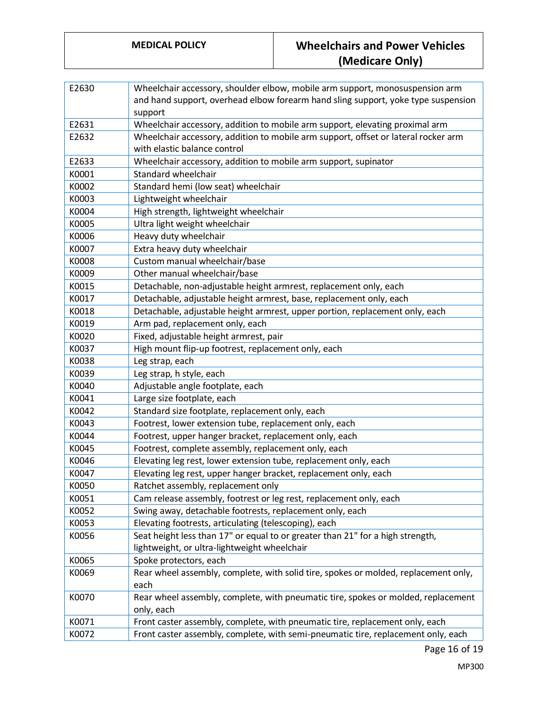| E2630 | Wheelchair accessory, shoulder elbow, mobile arm support, monosuspension arm        |
|-------|-------------------------------------------------------------------------------------|
|       | and hand support, overhead elbow forearm hand sling support, yoke type suspension   |
|       | support                                                                             |
| E2631 | Wheelchair accessory, addition to mobile arm support, elevating proximal arm        |
| E2632 | Wheelchair accessory, addition to mobile arm support, offset or lateral rocker arm  |
|       | with elastic balance control                                                        |
| E2633 | Wheelchair accessory, addition to mobile arm support, supinator                     |
| K0001 | Standard wheelchair                                                                 |
| K0002 | Standard hemi (low seat) wheelchair                                                 |
| K0003 | Lightweight wheelchair                                                              |
| K0004 | High strength, lightweight wheelchair                                               |
| K0005 | Ultra light weight wheelchair                                                       |
| K0006 | Heavy duty wheelchair                                                               |
| K0007 | Extra heavy duty wheelchair                                                         |
| K0008 | Custom manual wheelchair/base                                                       |
| K0009 | Other manual wheelchair/base                                                        |
| K0015 | Detachable, non-adjustable height armrest, replacement only, each                   |
| K0017 | Detachable, adjustable height armrest, base, replacement only, each                 |
| K0018 | Detachable, adjustable height armrest, upper portion, replacement only, each        |
| K0019 | Arm pad, replacement only, each                                                     |
| K0020 | Fixed, adjustable height armrest, pair                                              |
| K0037 | High mount flip-up footrest, replacement only, each                                 |
| K0038 | Leg strap, each                                                                     |
| K0039 | Leg strap, h style, each                                                            |
| K0040 | Adjustable angle footplate, each                                                    |
| K0041 | Large size footplate, each                                                          |
| K0042 | Standard size footplate, replacement only, each                                     |
| K0043 | Footrest, lower extension tube, replacement only, each                              |
| K0044 | Footrest, upper hanger bracket, replacement only, each                              |
| K0045 | Footrest, complete assembly, replacement only, each                                 |
| K0046 | Elevating leg rest, lower extension tube, replacement only, each                    |
| K0047 | Elevating leg rest, upper hanger bracket, replacement only, each                    |
| K0050 | Ratchet assembly, replacement only                                                  |
| K0051 | Cam release assembly, footrest or leg rest, replacement only, each                  |
| K0052 | Swing away, detachable footrests, replacement only, each                            |
| K0053 | Elevating footrests, articulating (telescoping), each                               |
| K0056 | Seat height less than 17" or equal to or greater than 21" for a high strength,      |
|       | lightweight, or ultra-lightweight wheelchair                                        |
| K0065 | Spoke protectors, each                                                              |
| K0069 | Rear wheel assembly, complete, with solid tire, spokes or molded, replacement only, |
|       | each                                                                                |
| K0070 | Rear wheel assembly, complete, with pneumatic tire, spokes or molded, replacement   |
|       | only, each                                                                          |
| K0071 | Front caster assembly, complete, with pneumatic tire, replacement only, each        |
| K0072 | Front caster assembly, complete, with semi-pneumatic tire, replacement only, each   |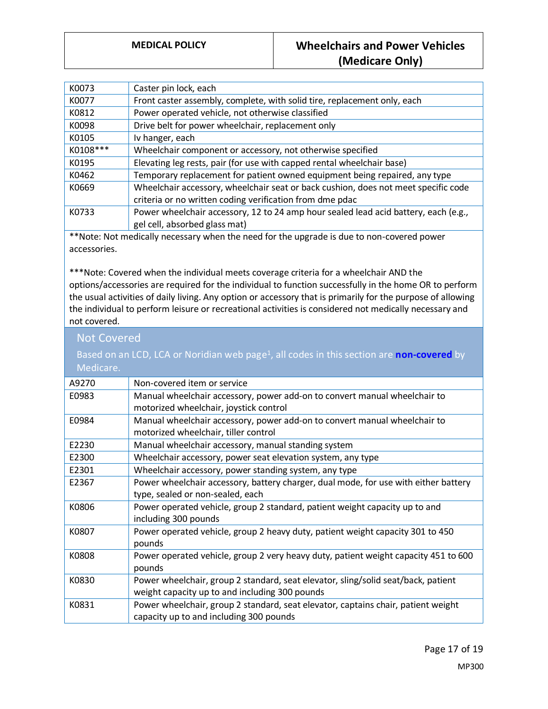| K0073    | Caster pin lock, each                                                               |
|----------|-------------------------------------------------------------------------------------|
| K0077    | Front caster assembly, complete, with solid tire, replacement only, each            |
| K0812    | Power operated vehicle, not otherwise classified                                    |
| K0098    | Drive belt for power wheelchair, replacement only                                   |
| K0105    | Iv hanger, each                                                                     |
| K0108*** | Wheelchair component or accessory, not otherwise specified                          |
| K0195    | Elevating leg rests, pair (for use with capped rental wheelchair base)              |
| K0462    | Temporary replacement for patient owned equipment being repaired, any type          |
| K0669    | Wheelchair accessory, wheelchair seat or back cushion, does not meet specific code  |
|          | criteria or no written coding verification from dme pdac                            |
| K0733    | Power wheelchair accessory, 12 to 24 amp hour sealed lead acid battery, each (e.g., |
|          | gel cell, absorbed glass mat)                                                       |

\*\*Note: Not medically necessary when the need for the upgrade is due to non-covered power accessories.

\*\*\*Note: Covered when the individual meets coverage criteria for a wheelchair AND the options/accessories are required for the individual to function successfully in the home OR to perform the usual activities of daily living. Any option or accessory that is primarily for the purpose of allowing the individual to perform leisure or recreational activities is considered not medically necessary and not covered.

### Not Covered Based on an LCD, LCA or Noridian web page<sup>1</sup>, all codes in this section are **non-covered** by Medicare. A9270 Non-covered item or service E0983 Manual wheelchair accessory, power add-on to convert manual wheelchair to motorized wheelchair, joystick control E0984 Manual wheelchair accessory, power add-on to convert manual wheelchair to motorized wheelchair, tiller control E2230 Manual wheelchair accessory, manual standing system E2300 Wheelchair accessory, power seat elevation system, any type E2301 Wheelchair accessory, power standing system, any type E2367 Power wheelchair accessory, battery charger, dual mode, for use with either battery type, sealed or non-sealed, each K0806 Power operated vehicle, group 2 standard, patient weight capacity up to and including 300 pounds K0807 Power operated vehicle, group 2 heavy duty, patient weight capacity 301 to 450 pounds K0808 Power operated vehicle, group 2 very heavy duty, patient weight capacity 451 to 600 pounds K0830 Power wheelchair, group 2 standard, seat elevator, sling/solid seat/back, patient weight capacity up to and including 300 pounds K0831 Power wheelchair, group 2 standard, seat elevator, captains chair, patient weight capacity up to and including 300 pounds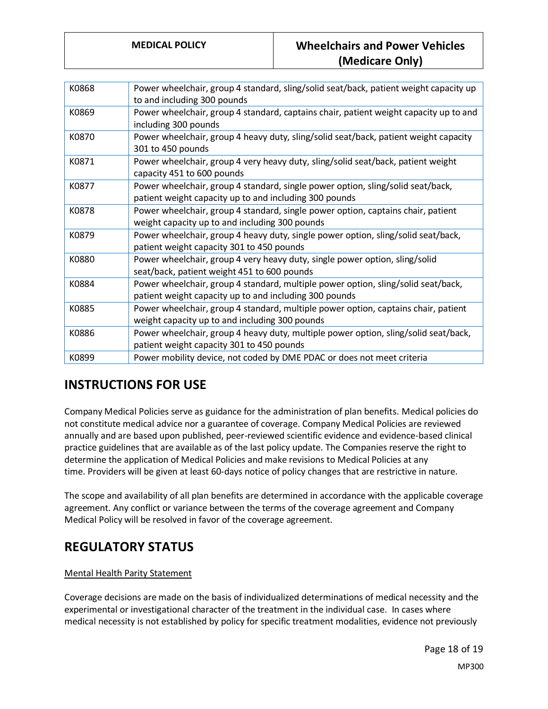| K0868 | Power wheelchair, group 4 standard, sling/solid seat/back, patient weight capacity up<br>to and including 300 pounds                        |
|-------|---------------------------------------------------------------------------------------------------------------------------------------------|
| K0869 | Power wheelchair, group 4 standard, captains chair, patient weight capacity up to and<br>including 300 pounds                               |
| K0870 | Power wheelchair, group 4 heavy duty, sling/solid seat/back, patient weight capacity<br>301 to 450 pounds                                   |
| K0871 | Power wheelchair, group 4 very heavy duty, sling/solid seat/back, patient weight<br>capacity 451 to 600 pounds                              |
| K0877 | Power wheelchair, group 4 standard, single power option, sling/solid seat/back,<br>patient weight capacity up to and including 300 pounds   |
| K0878 | Power wheelchair, group 4 standard, single power option, captains chair, patient<br>weight capacity up to and including 300 pounds          |
| K0879 | Power wheelchair, group 4 heavy duty, single power option, sling/solid seat/back,<br>patient weight capacity 301 to 450 pounds              |
| K0880 | Power wheelchair, group 4 very heavy duty, single power option, sling/solid<br>seat/back, patient weight 451 to 600 pounds                  |
| K0884 | Power wheelchair, group 4 standard, multiple power option, sling/solid seat/back,<br>patient weight capacity up to and including 300 pounds |
| K0885 | Power wheelchair, group 4 standard, multiple power option, captains chair, patient<br>weight capacity up to and including 300 pounds        |
| K0886 | Power wheelchair, group 4 heavy duty, multiple power option, sling/solid seat/back,<br>patient weight capacity 301 to 450 pounds            |
| K0899 | Power mobility device, not coded by DME PDAC or does not meet criteria                                                                      |
|       |                                                                                                                                             |

# **INSTRUCTIONS FOR USE**

Company Medical Policies serve as guidance for the administration of plan benefits. Medical policies do not constitute medical advice nor a guarantee of coverage. Company Medical Policies are reviewed annually and are based upon published, peer-reviewed scientific evidence and evidence-based clinical practice guidelines that are available as of the last policy update. The Companies reserve the right to determine the application of Medical Policies and make revisions to Medical Policies at any time. Providers will be given at least 60-days notice of policy changes that are restrictive in nature.

The scope and availability of all plan benefits are determined in accordance with the applicable coverage agreement. Any conflict or variance between the terms of the coverage agreement and Company Medical Policy will be resolved in favor of the coverage agreement.

## **REGULATORY STATUS**

#### Mental Health Parity Statement

Coverage decisions are made on the basis of individualized determinations of medical necessity and the experimental or investigational character of the treatment in the individual case. In cases where medical necessity is not established by policy for specific treatment modalities, evidence not previously